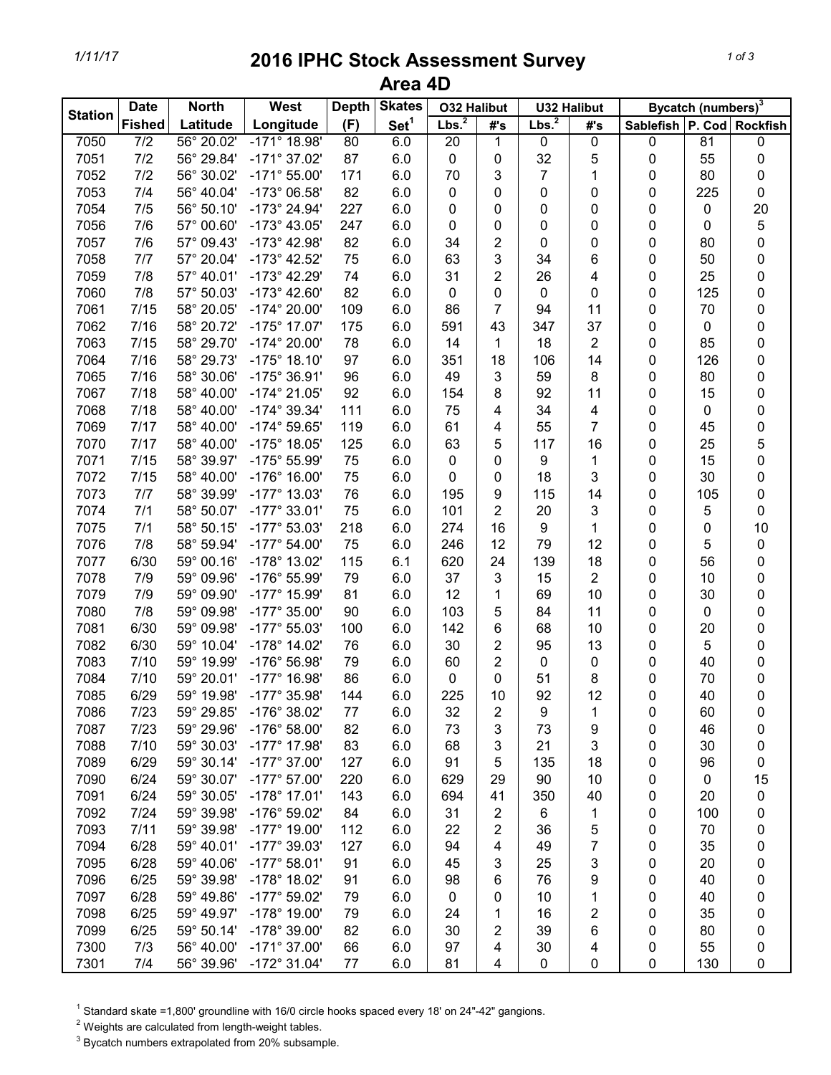## *1/11/17* **2016 IPHC Stock Assessment Survey Area 4D**

| <b>Station</b> | <b>Date</b>      | <b>North</b> | West                  | <b>Depth</b> | <b>Skates</b>    | <b>O32 Halibut</b> |                | <b>U32 Halibut</b> |     | Bycatch (numbers) <sup>3</sup> |             |                 |
|----------------|------------------|--------------|-----------------------|--------------|------------------|--------------------|----------------|--------------------|-----|--------------------------------|-------------|-----------------|
|                | <b>Fished</b>    | Latitude     | Longitude             | (F)          | Set <sup>1</sup> | Lbs. <sup>2</sup>  | #'s            | Lbs. <sup>2</sup>  | #'s | Sablefish P. Cod               |             | <b>Rockfish</b> |
| 7050           | $\overline{7/2}$ | 56° 20.02'   | $-171^{\circ}$ 18.98' | 80           | 6.0              | $\overline{20}$    | 1              | 0                  | 0   | 0                              | 81          | 0               |
| 7051           | 7/2              | 56° 29.84'   | $-171^{\circ}$ 37.02' | 87           | 6.0              | $\pmb{0}$          | 0              | 32                 | 5   | 0                              | 55          | 0               |
| 7052           | 7/2              | 56° 30.02'   | $-171^{\circ} 55.00'$ | 171          | 6.0              | 70                 | 3              | 7                  | 1   | 0                              | 80          | 0               |
| 7053           | 7/4              | 56° 40.04'   | -173° 06.58'          | 82           | 6.0              | 0                  | 0              | 0                  | 0   | 0                              | 225         | 0               |
| 7054           | 7/5              | 56° 50.10'   | -173° 24.94'          | 227          | 6.0              | 0                  | 0              | 0                  | 0   | 0                              | $\pmb{0}$   | 20              |
| 7056           | 7/6              | 57° 00.60'   | $-173^{\circ}$ 43.05' | 247          | 6.0              | 0                  | 0              | 0                  | 0   | 0                              | 0           | 5               |
| 7057           | 7/6              | 57° 09.43'   | $-173^{\circ}$ 42.98' | 82           | 6.0              | 34                 | $\overline{c}$ | $\mathbf 0$        | 0   | $\pmb{0}$                      | 80          | 0               |
| 7058           | 7/7              | 57° 20.04'   | -173° 42.52'          | 75           | 6.0              | 63                 | 3              | 34                 | 6   | $\pmb{0}$                      | 50          | 0               |
| 7059           | 7/8              | 57° 40.01'   | $-173^{\circ}$ 42.29' | 74           | 6.0              | 31                 | 2              | 26                 | 4   | 0                              | 25          | 0               |
| 7060           | 7/8              | 57° 50.03'   | $-173^{\circ}$ 42.60' | 82           | 6.0              | 0                  | 0              | 0                  | 0   | 0                              | 125         | 0               |
| 7061           | 7/15             | 58° 20.05'   | $-174^{\circ}$ 20.00' | 109          | 6.0              | 86                 | 7              | 94                 | 11  | 0                              | 70          | 0               |
| 7062           | 7/16             | 58° 20.72'   | $-175^{\circ}$ 17.07' | 175          | 6.0              | 591                | 43             | 347                | 37  | 0                              | 0           | 0               |
| 7063           | 7/15             | 58° 29.70'   | $-174^{\circ}$ 20.00' | 78           | 6.0              | 14                 | 1              | 18                 | 2   | 0                              | 85          | 0               |
| 7064           | 7/16             | 58° 29.73'   | $-175^{\circ}$ 18.10' | 97           | 6.0              | 351                | 18             | 106                | 14  | 0                              | 126         | 0               |
| 7065           | 7/16             | 58° 30.06'   | -175° 36.91'          | 96           | 6.0              | 49                 | 3              | 59                 | 8   | 0                              | 80          | 0               |
| 7067           | 7/18             | 58° 40.00'   | $-174^{\circ}$ 21.05' | 92           | 6.0              | 154                | 8              | 92                 | 11  | 0                              | 15          | 0               |
| 7068           | 7/18             | 58° 40.00'   | $-174^{\circ}$ 39.34' | 111          | 6.0              | 75                 | 4              | 34                 | 4   | 0                              | 0           | 0               |
| 7069           | 7/17             | 58° 40.00'   | -174° 59.65'          | 119          | 6.0              | 61                 | 4              | 55                 | 7   | 0                              | 45          | 0               |
| 7070           | 7/17             | 58° 40.00'   | $-175^{\circ}$ 18.05' | 125          | 6.0              | 63                 | 5              | 117                | 16  | 0                              | 25          | 5               |
| 7071           | 7/15             | 58° 39.97'   | -175° 55.99'          | 75           | 6.0              | 0                  | 0              | 9                  | 1   | 0                              | 15          | 0               |
| 7072           | 7/15             | 58° 40.00'   | $-176^{\circ}$ 16.00' | 75           | 6.0              | 0                  | 0              | 18                 | 3   | 0                              | 30          | 0               |
| 7073           | 7/7              | 58° 39.99'   | $-177^{\circ}$ 13.03' | 76           | 6.0              | 195                | 9              | 115                | 14  | 0                              | 105         | 0               |
| 7074           | 7/1              | 58° 50.07'   | $-177^{\circ}$ 33.01' | 75           | 6.0              | 101                | $\overline{2}$ | 20                 | 3   | $\pmb{0}$                      | 5           | 0               |
| 7075           | 7/1              | 58° 50.15'   | $-177^{\circ} 53.03'$ | 218          | 6.0              | 274                | 16             | 9                  | 1   | $\pmb{0}$                      | 0           | 10              |
| 7076           | 7/8              | 58° 59.94'   | $-177^{\circ}$ 54.00' | 75           | 6.0              | 246                | 12             | 79                 | 12  | $\pmb{0}$                      | 5           | 0               |
| 7077           | 6/30             | 59° 00.16'   | -178° 13.02'          | 115          | 6.1              | 620                | 24             | 139                | 18  | 0                              | 56          | 0               |
| 7078           | 7/9              | 59° 09.96'   | -176° 55.99'          | 79           | 6.0              | 37                 | 3              | 15                 | 2   | 0                              | 10          | 0               |
| 7079           | 7/9              | 59° 09.90'   | $-177^{\circ}$ 15.99' | 81           | 6.0              | 12                 | 1              | 69                 | 10  | 0                              | 30          | 0               |
| 7080           | 7/8              | 59° 09.98'   | $-177^{\circ}$ 35.00' | 90           | 6.0              | 103                | 5              | 84                 | 11  | 0                              | 0           | 0               |
| 7081           | 6/30             | 59° 09.98'   | $-177^{\circ}$ 55.03' | 100          | 6.0              | 142                | 6              | 68                 | 10  | 0                              | 20          | 0               |
| 7082           | 6/30             | 59° 10.04'   | $-178^\circ$ 14.02'   | 76           | 6.0              | 30                 | $\overline{2}$ | 95                 | 13  | 0                              | 5           | 0               |
| 7083           | 7/10             | 59° 19.99'   | -176° 56.98'          | 79           | 6.0              | 60                 | 2              | 0                  | 0   | 0                              | 40          | 0               |
| 7084           | 7/10             | 59° 20.01'   | $-177^{\circ}$ 16.98' | 86           | 6.0              | 0                  | 0              | 51                 | 8   | 0                              | 70          | 0               |
| 7085           | 6/29             | 59° 19.98'   | -177° 35.98'          | 144          | 6.0              | 225                | 10             | 92                 | 12  | 0                              | 40          | 0               |
| 7086           | 7/23             | 59° 29.85'   | -176° 38.02'          | 77           | 6.0              | 32                 | 2              | 9                  | 1   | 0                              | 60          | 0               |
| 7087           | 7/23             | 59° 29.96'   | $-176^{\circ} 58.00'$ | 82           | 6.0              | 73                 | 3              | 73                 | 9   | 0                              | 46          | 0               |
| 7088           | 7/10             | 59° 30.03'   | -177° 17.98'          | 83           | 6.0              | 68                 | 3              | 21                 | 3   | 0                              | 30          | 0               |
| 7089           | 6/29             | 59° 30.14'   | $-177^{\circ}$ 37.00' | 127          | 6.0              | 91                 | 5              | 135                | 18  | 0                              | 96          | 0               |
| 7090           | 6/24             | 59° 30.07'   | $-177^{\circ}$ 57.00' | 220          | 6.0              | 629                | 29             | 90                 | 10  | 0                              | $\mathbf 0$ | 15              |
| 7091           | 6/24             | 59° 30.05'   | $-178°$ 17.01'        | 143          | 6.0              | 694                | 41             | 350                | 40  | 0                              | 20          | 0               |
| 7092           | $7/24$           | 59° 39.98'   | -176° 59.02'          | 84           | 6.0              | 31                 | $\overline{2}$ | 6                  | 1   |                                | 100         | 0               |
| 7093           | 7/11             | 59° 39.98'   | $-177^{\circ}$ 19.00' | 112          | 6.0              | 22                 |                | 36                 | 5   | 0                              | 70          |                 |
| 7094           | 6/28             | 59° 40.01'   | $-177^{\circ}$ 39.03' | 127          | 6.0              | 94                 | 2              | 49                 | 7   | 0                              | 35          | 0               |
|                |                  |              |                       |              |                  |                    | 4              |                    |     | 0                              |             | 0               |
| 7095           | 6/28             | 59° 40.06'   | $-177^{\circ}58.01'$  | 91           | 6.0              | 45                 | 3              | 25                 | 3   | 0                              | 20          | 0               |
| 7096           | 6/25             | 59° 39.98'   | $-178^\circ$ 18.02'   | 91           | 6.0              | 98                 | 6              | 76                 | 9   | 0                              | 40          | 0               |
| 7097           | 6/28             | 59° 49.86'   | $-177^{\circ}59.02'$  | 79           | 6.0              | 0                  | 0              | 10                 | 1   | 0                              | 40          | 0               |
| 7098           | 6/25             | 59° 49.97'   | -178° 19.00'          | 79           | 6.0              | 24                 | 1              | 16                 | 2   | 0                              | 35          | 0               |
| 7099           | 6/25             | 59° 50.14'   | -178° 39.00'          | 82           | 6.0              | 30                 | 2              | 39                 | 6   | 0                              | 80          | 0               |
| 7300           | 7/3              | 56° 40.00'   | $-171^{\circ}$ 37.00' | 66           | 6.0              | 97                 | 4              | 30                 | 4   | 0                              | 55          | 0               |
| 7301           | 7/4              | 56° 39.96'   | $-172^{\circ}$ 31.04' | 77           | 6.0              | 81                 | 4              | $\pmb{0}$          | 0   | 0                              | 130         | 0               |

 $1$  Standard skate =1,800' groundline with 16/0 circle hooks spaced every 18' on 24"-42" gangions.

 $2$  Weights are calculated from length-weight tables.

 $3$  Bycatch numbers extrapolated from 20% subsample.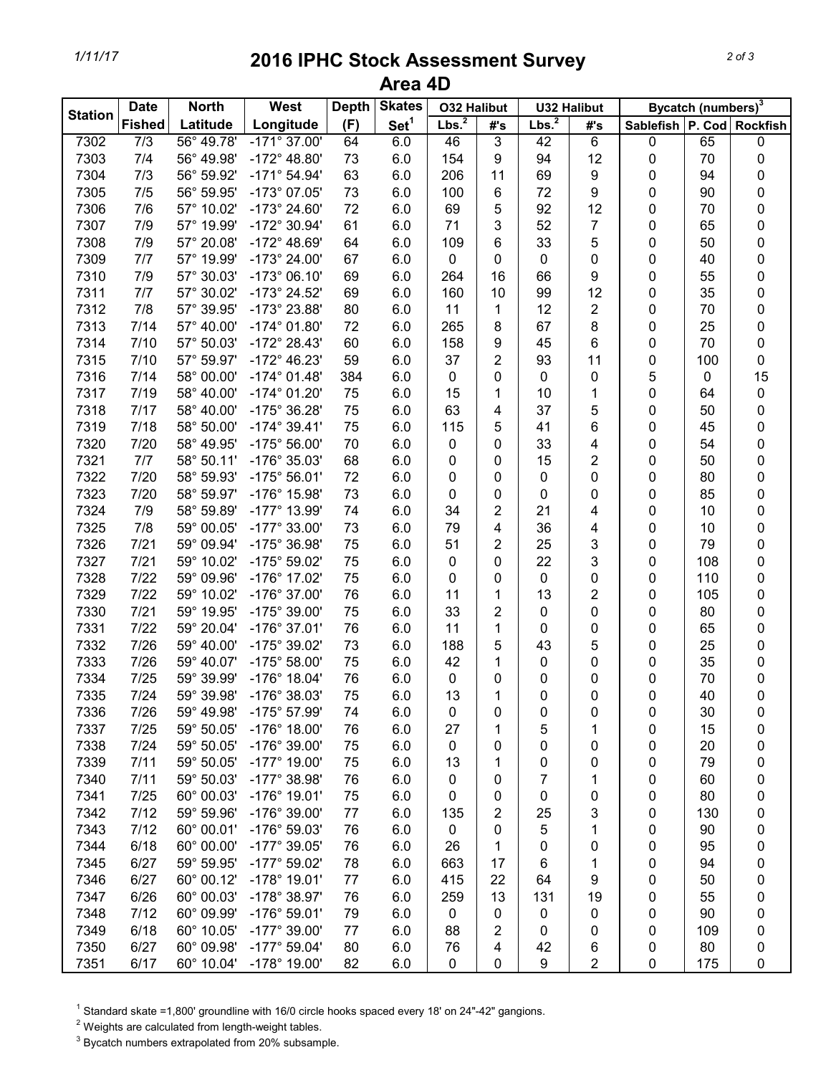## *1/11/17* **2016 IPHC Stock Assessment Survey Area 4D**

| <b>Station</b> | <b>Date</b>      | <b>North</b> | West                  | <b>Depth</b> | <b>Skates</b>    | <b>O32 Halibut</b> |        | <b>U32 Halibut</b> |                         | Bycatch (numbers) <sup>3</sup> |           |                |
|----------------|------------------|--------------|-----------------------|--------------|------------------|--------------------|--------|--------------------|-------------------------|--------------------------------|-----------|----------------|
|                | <b>Fished</b>    | Latitude     | Longitude             | (F)          | Set <sup>1</sup> | Lbs. <sup>2</sup>  | #'s    | Lbs. <sup>2</sup>  | #'s                     | Sablefish   P. Cod   Rockfish  |           |                |
| 7302           | $\overline{7/3}$ | 56° 49.78'   | $-171^{\circ}$ 37.00' | 64           | 6.0              | 46                 | 3      | 42                 | 6                       | 0                              | 65        | $\pmb{0}$      |
| 7303           | 7/4              | 56° 49.98'   | $-172^{\circ}$ 48.80' | 73           | 6.0              | 154                | 9      | 94                 | 12                      | 0                              | 70        | 0              |
| 7304           | 7/3              | 56° 59.92'   | $-171^{\circ} 54.94'$ | 63           | 6.0              | 206                | 11     | 69                 | 9                       | 0                              | 94        | 0              |
| 7305           | 7/5              | 56° 59.95'   | -173° 07.05'          | 73           | 6.0              | 100                | 6      | 72                 | 9                       | 0                              | 90        | $\pmb{0}$      |
| 7306           | 7/6              | 57° 10.02'   | -173° 24.60'          | 72           | 6.0              | 69                 | 5      | 92                 | 12                      | 0                              | 70        | 0              |
| 7307           | 7/9              | 57° 19.99'   | -172° 30.94'          | 61           | 6.0              | 71                 | 3      | 52                 | 7                       | 0                              | 65        | 0              |
| 7308           | 7/9              | 57° 20.08'   | $-172^{\circ}$ 48.69' | 64           | 6.0              | 109                | 6      | 33                 | 5                       | 0                              | 50        | $\pmb{0}$      |
| 7309           | 7/7              | 57° 19.99'   | $-173^{\circ}$ 24.00' | 67           | 6.0              | 0                  | 0      | 0                  | 0                       | 0                              | 40        | $\pmb{0}$      |
| 7310           | 7/9              | 57° 30.03'   | $-173^{\circ}$ 06.10' | 69           | 6.0              | 264                | 16     | 66                 | 9                       | 0                              | 55        | 0              |
| 7311           | 7/7              | 57° 30.02'   | -173° 24.52'          | 69           | 6.0              | 160                | 10     | 99                 | 12                      | 0                              | 35        | 0              |
| 7312           | 7/8              | 57° 39.95'   | -173° 23.88'          | 80           | 6.0              | 11                 | 1      | 12                 | 2                       | 0                              | 70        | 0              |
| 7313           | 7/14             | 57° 40.00'   | $-174^{\circ}$ 01.80' | 72           | 6.0              | 265                | 8      | 67                 | 8                       | 0                              | 25        | 0              |
| 7314           | 7/10             | 57° 50.03'   | $-172^{\circ}$ 28.43' | 60           | 6.0              | 158                | 9      | 45                 | 6                       | 0                              | 70        | 0              |
| 7315           | 7/10             | 57° 59.97'   | $-172^{\circ}$ 46.23' | 59           | 6.0              | 37                 | 2      | 93                 | 11                      | 0                              | 100       | $\pmb{0}$      |
| 7316           | 7/14             | 58° 00.00'   | $-174^{\circ}$ 01.48' | 384          | 6.0              | 0                  | 0      | 0                  | 0                       | 5                              | $\pmb{0}$ | 15             |
| 7317           | 7/19             | 58° 40.00'   | $-174^{\circ}$ 01.20' | 75           | 6.0              | 15                 | 1      | 10                 | 1                       | 0                              | 64        | $\pmb{0}$      |
| 7318           | 7/17             | 58° 40.00'   | -175° 36.28'          | 75           | 6.0              | 63                 | 4      | 37                 | 5                       | 0                              | 50        | $\pmb{0}$      |
| 7319           | 7/18             | 58° 50.00'   | $-174^{\circ} 39.41'$ | 75           | 6.0              | 115                | 5      | 41                 | 6                       | 0                              | 45        | $\pmb{0}$      |
| 7320           | 7/20             | 58° 49.95'   | $-175^{\circ} 56.00'$ | 70           | 6.0              | 0                  | 0      | 33                 | 4                       | 0                              | 54        | $\pmb{0}$      |
| 7321           | 7/7              | 58° 50.11'   | -176° 35.03'          | 68           | 6.0              | 0                  | 0      | 15                 | 2                       | 0                              | 50        | $\pmb{0}$      |
| 7322           | 7/20             | 58° 59.93'   | $-175^{\circ}56.01'$  | 72           | 6.0              | 0                  | 0      | 0                  | 0                       | 0                              | 80        | 0              |
| 7323           | 7/20             | 58° 59.97'   | -176° 15.98'          | 73           | 6.0              | 0                  | 0      | 0                  | 0                       | 0                              | 85        | 0              |
| 7324           | 7/9              | 58° 59.89'   | $-177^{\circ}$ 13.99' | 74           | 6.0              | 34                 | 2      | 21                 | 4                       | 0                              | 10        | 0              |
| 7325           | 7/8              | 59° 00.05'   | $-177^{\circ}$ 33.00' | 73           | 6.0              | 79                 | 4      | 36                 | 4                       | 0                              | 10        | $\pmb{0}$      |
| 7326           | 7/21             | 59° 09.94'   | -175° 36.98'          | 75           | 6.0              | 51                 | 2      | 25                 | 3                       | 0                              | 79        | $\pmb{0}$      |
| 7327           | $7/21$           | 59° 10.02'   | -175° 59.02'          | 75           | 6.0              | 0                  | 0      | 22                 | 3                       | 0                              | 108       | 0              |
| 7328           | 7/22             | 59° 09.96'   | -176° 17.02'          | 75           | 6.0              | 0                  |        | 0                  |                         | 0                              | 110       | 0              |
| 7329           | 7/22             | 59° 10.02'   | -176° 37.00'          | 76           | 6.0              | 11                 | 0<br>1 | 13                 | 0<br>2                  | 0                              | 105       | 0              |
| 7330           | $7/21$           | 59° 19.95'   | -175° 39.00'          | 75           | 6.0              | 33                 | 2      | 0                  | 0                       | 0                              | 80        |                |
| 7331           | 7/22             | 59° 20.04'   | $-176^{\circ}$ 37.01' | 76           |                  | 11                 |        |                    |                         |                                | 65        | 0<br>$\pmb{0}$ |
| 7332           | 7/26             | 59° 40.00'   | -175° 39.02'          | 73           | 6.0              |                    | 1      | 0<br>43            | 0                       | 0                              | 25        | $\pmb{0}$      |
|                |                  | 59° 40.07'   | $-175^{\circ}$ 58.00' |              | 6.0              | 188                | 5      |                    | 5                       | 0                              |           |                |
| 7333           | 7/26             | 59° 39.99'   | -176° 18.04'          | 75           | 6.0              | 42                 | 1      | 0                  | 0                       | 0                              | 35        | $\pmb{0}$      |
| 7334           | 7/25             |              |                       | 76           | 6.0              | 0                  | 0      | 0                  | 0                       | 0                              | 70        | $\pmb{0}$      |
| 7335           | 7/24             | 59° 39.98'   | -176° 38.03'          | 75           | 6.0              | 13                 | 1      | 0                  | 0                       | 0                              | 40        | $\pmb{0}$      |
| 7336           | 7/26             | 59° 49.98'   | -175° 57.99'          | 74           | 6.0              | 0                  | 0      | 0                  | 0                       | 0                              | 30        | 0              |
| 7337           | 7/25             | 59° 50.05'   | -176° 18.00'          | 76           | 6.0              | 27                 | 1      | 5                  | 1                       | 0                              | 15        | 0              |
| 7338           | 7/24             | 59° 50.05'   | -176° 39.00'          | 75           | 6.0              | 0                  | 0      | 0                  | 0                       | 0                              | 20        | 0              |
| 7339           | 7/11             | 59° 50.05'   | $-177^{\circ}$ 19.00' | 75           | 6.0              | 13                 | 1      | 0                  | 0                       | 0                              | 79        | 0              |
| 7340           | 7/11             | 59° 50.03'   | $-177^{\circ}$ 38.98' | 76           | 6.0              | 0                  | 0      | 7                  | 1                       | 0                              | 60        | 0              |
| 7341           | 7/25             | 60° 00.03'   | -176° 19.01'          | 75           | 6.0              | 0                  | 0      | 0                  | 0                       | 0                              | 80        | 0              |
| 7342           | 7/12             | 59° 59.96'   | -176° 39.00'          | 77           | 6.0              | 135                | 2      | 25                 | 3                       | 0                              | 130       | 0              |
| 7343           | 7/12             | 60° 00.01'   | -176° 59.03'          | 76           | 6.0              | 0                  | 0      | 5                  | 1                       | 0                              | 90        | 0              |
| 7344           | 6/18             | 60° 00.00'   | $-177^{\circ}$ 39.05' | 76           | 6.0              | 26                 | 1      | 0                  | 0                       | 0                              | 95        | 0              |
| 7345           | 6/27             | 59° 59.95'   | $-177^{\circ}59.02'$  | 78           | 6.0              | 663                | 17     | 6                  | 1                       | 0                              | 94        | 0              |
| 7346           | 6/27             | 60° 00.12'   | $-178°$ 19.01'        | 77           | 6.0              | 415                | 22     | 64                 | 9                       | 0                              | 50        | 0              |
| 7347           | 6/26             | 60° 00.03'   | -178° 38.97'          | 76           | 6.0              | 259                | 13     | 131                | 19                      | 0                              | 55        | 0              |
| 7348           | 7/12             | 60° 09.99'   | $-176^{\circ} 59.01'$ | 79           | 6.0              | 0                  | 0      | 0                  | 0                       | 0                              | 90        | 0              |
| 7349           | 6/18             | 60° 10.05'   | $-177^{\circ}$ 39.00' | 77           | 6.0              | 88                 | 2      | 0                  | 0                       | 0                              | 109       | 0              |
| 7350           | 6/27             | 60° 09.98'   | $-177^{\circ}59.04'$  | 80           | 6.0              | 76                 | 4      | 42                 | 6                       | 0                              | 80        | 0              |
| 7351           | 6/17             | 60° 10.04'   | -178° 19.00'          | 82           | 6.0              | 0                  | 0      | 9                  | $\overline{\mathbf{c}}$ | 0                              | 175       | 0              |

 $1$  Standard skate =1,800' groundline with 16/0 circle hooks spaced every 18' on 24"-42" gangions.

 $2$  Weights are calculated from length-weight tables.

 $3$  Bycatch numbers extrapolated from 20% subsample.